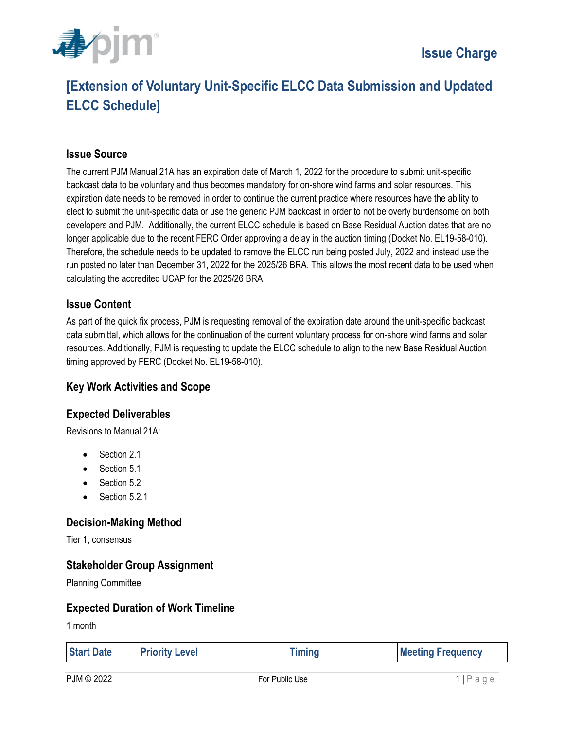

# **[Extension of Voluntary Unit-Specific ELCC Data Submission and Updated ELCC Schedule]**

### **Issue Source**

The current PJM Manual 21A has an expiration date of March 1, 2022 for the procedure to submit unit-specific backcast data to be voluntary and thus becomes mandatory for on-shore wind farms and solar resources. This expiration date needs to be removed in order to continue the current practice where resources have the ability to elect to submit the unit-specific data or use the generic PJM backcast in order to not be overly burdensome on both developers and PJM. Additionally, the current ELCC schedule is based on Base Residual Auction dates that are no longer applicable due to the recent FERC Order approving a delay in the auction timing (Docket No. EL19-58-010). Therefore, the schedule needs to be updated to remove the ELCC run being posted July, 2022 and instead use the run posted no later than December 31, 2022 for the 2025/26 BRA. This allows the most recent data to be used when calculating the accredited UCAP for the 2025/26 BRA.

#### **Issue Content**

As part of the quick fix process, PJM is requesting removal of the expiration date around the unit-specific backcast data submittal, which allows for the continuation of the current voluntary process for on-shore wind farms and solar resources. Additionally, PJM is requesting to update the ELCC schedule to align to the new Base Residual Auction timing approved by FERC (Docket No. EL19-58-010).

#### **Key Work Activities and Scope**

### **Expected Deliverables**

Revisions to Manual 21A:

- Section 2.1
- Section 5.1
- Section 5.2
- $\bullet$  Section 5.2.1

### **Decision-Making Method**

Tier 1, consensus

### **Stakeholder Group Assignment**

Planning Committee

#### **Expected Duration of Work Timeline**

1 month

| <b>Start Date</b> | <b>Priority Level</b> | <b>Timing</b> | <b>Meeting Frequency</b> |
|-------------------|-----------------------|---------------|--------------------------|
|                   |                       |               |                          |